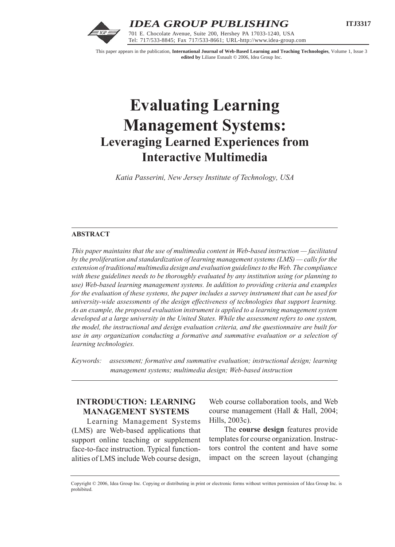

*IDEA GROUP PUBLISHING* 701 E. Chocolate Avenue, Suite 200, Hershey PA 17033-1240, USA Tel: 717/533-8845; Fax 717/533-8661; URL-http://www.idea-group.com

This paper appears in the publication, **International Journal of Web-Based Learning and Teaching Technologies**, Volume 1, Issue 3 **edited by** Liliane Esnault © 2006, Idea Group Inc.

# **Evaluating Learning Management Systems: Leveraging Learned Experiences from Interactive Multimedia**

*Katia Passerini, New Jersey Institute of Technology, USA*

#### **ABSTRACT**

*This paper maintains that the use of multimedia content in Web-based instruction — facilitated by the proliferation and standardization of learning management systems (LMS) — calls for the extension of traditional multimedia design and evaluation guidelines to the Web. The compliance with these guidelines needs to be thoroughly evaluated by any institution using (or planning to use) Web-based learning management systems. In addition to providing criteria and examples for the evaluation of these systems, the paper includes a survey instrument that can be used for university-wide assessments of the design effectiveness of technologies that support learning. As an example, the proposed evaluation instrument is applied to a learning management system developed at a large university in the United States. While the assessment refers to one system, the model, the instructional and design evaluation criteria, and the questionnaire are built for use in any organization conducting a formative and summative evaluation or a selection of learning technologies.*

*Keywords: assessment; formative and summative evaluation; instructional design; learning management systems; multimedia design; Web-based instruction* 

# **INTRODUCTION: LEARNING MANAGEMENT SYSTEMS**

Learning Management Systems (LMS) are Web-based applications that support online teaching or supplement face-to-face instruction. Typical functionalities of LMS include Web course design, Web course collaboration tools, and Web course management (Hall & Hall, 2004; Hills, 2003c).

The **course design** features provide templates for course organization. Instructors control the content and have some impact on the screen layout (changing

Copyright © 2006, Idea Group Inc. Copying or distributing in print or electronic forms without written permission of Idea Group Inc. is prohibited.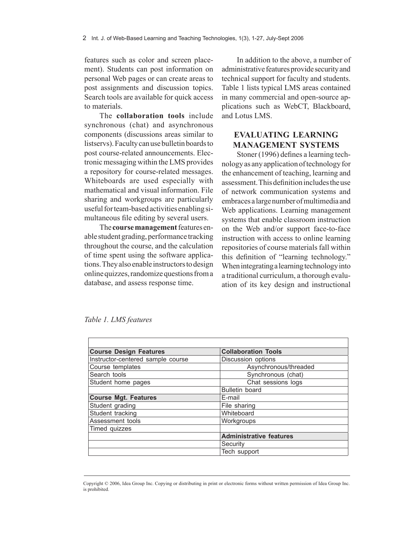features such as color and screen placement). Students can post information on personal Web pages or can create areas to post assignments and discussion topics. Search tools are available for quick access to materials.

The **collaboration tools** include synchronous (chat) and asynchronous components (discussions areas similar to listservs). Faculty can use bulletin boards to post course-related announcements. Electronic messaging within the LMS provides a repository for course-related messages. Whiteboards are used especially with mathematical and visual information. File sharing and workgroups are particularly useful for team-based activities enabling simultaneous file editing by several users.

The **course management** features enable student grading, performance tracking throughout the course, and the calculation of time spent using the software applications. They also enable instructors to design online quizzes, randomize questions from a database, and assess response time.

In addition to the above, a number of administrative features provide security and technical support for faculty and students. Table 1 lists typical LMS areas contained in many commercial and open-source applications such as WebCT, Blackboard, and Lotus LMS.

# **EVALUATING LEARNING MANAGEMENT SYSTEMS**

Stoner (1996) defines a learning technology as any application of technology for the enhancement of teaching, learning and assessment. This definition includes the use of network communication systems and embraces a large number of multimedia and Web applications. Learning management systems that enable classroom instruction on the Web and/or support face-to-face instruction with access to online learning repositories of course materials fall within this definition of "learning technology." When integrating a learning technology into a traditional curriculum, a thorough evaluation of its key design and instructional

| <b>Course Design Features</b>     | <b>Collaboration Tools</b>     |
|-----------------------------------|--------------------------------|
| Instructor-centered sample course | Discussion options             |
| Course templates                  | Asynchronous/threaded          |
| Search tools                      | Synchronous (chat)             |
| Student home pages                | Chat sessions logs             |
|                                   | <b>Bulletin board</b>          |
| <b>Course Mgt. Features</b>       | E-mail                         |
| Student grading                   | File sharing                   |
| Student tracking                  | Whiteboard                     |
| Assessment tools                  | Workgroups                     |
| Timed quizzes                     |                                |
|                                   | <b>Administrative features</b> |
|                                   | Security                       |
|                                   | Tech support                   |

*Table 1. LMS features* 

Copyright © 2006, Idea Group Inc. Copying or distributing in print or electronic forms without written permission of Idea Group Inc. is prohibited.